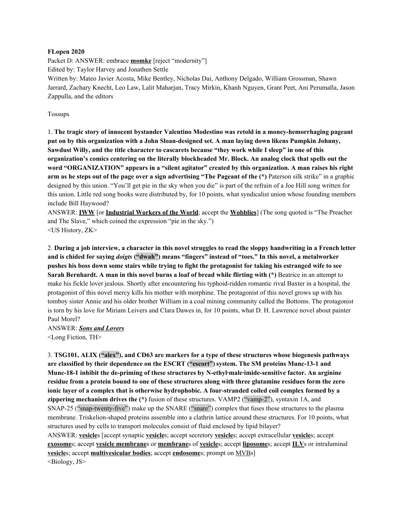#### **FLopen 2020**

Packet D: ANSWER: embrace **momke** [reject "modernity"] Edited by: Taylor Harvey and Jonathen Settle Written by: Mateo Javier Acosta, Mike Bentley, Nicholas Dai, Anthony Delgado, William Grossman, Shawn Jarrard, Zachary Knecht, Leo Law, Lalit Maharjan, Tracy Mirkin, Khanh Nguyen, Grant Peet, Ani Perumalla, Jason Zappulla, and the editors

Tossups

1. **The tragic story of innocent bystander Valentino Modestino was retold in a money-hemorrhaging pageant put on by this organization with a John Sloan-designed set. A man laying down likens Pumpkin Johnny,** Sawdust Willy, and the title character to cascarets because "they work while I sleep" in one of this **organization's comics centering on the literally blockheaded Mr. Block. An analog clock that spells out the word "ORGANIZATION" appears in a "silent agitator" created by this organization. A man raises his right** arm as he steps out of the page over a sign advertising "The Pageant of the (\*) Paterson silk strike" in a graphic designed by this union. "You'll get pie in the sky when you die" is part of the refrain of a Joe Hill song written for this union. Little red song books were distributed by, for 10 points, what syndicalist union whose founding members include Bill Haywood?

ANSWER: **IWW** [or **Industrial Workers of the World**; accept the **Wobblies**] (The song quoted is "The Preacher and The Slave," which coined the expression "pie in the sky.") <US History, ZK>

2. During a job interview, a character in this novel struggles to read the sloppy handwriting in a French letter **and is chided for saying** *doigts* **("dwah") means "fingers" instead of "toes." In this novel, a metalworker** pushes his boss down some stairs while trying to fight the protagonist for taking his estranged wife to see **Sarah Bernhardt. A man in this novel burns a loaf of bread while flirting with (\*)** Beatrice in an attempt to make his fickle lover jealous. Shortly after encountering his typhoid-ridden romantic rival Baxter in a hospital, the protagonist of this novel mercy kills his mother with morphine. The protagonist of this novel grows up with his tomboy sister Annie and his older brother William in a coal mining community called the Bottoms. The protagonist is torn by his love for Miriam Leivers and Clara Dawes in, for 10 points, what D. H. Lawrence novel about painter Paul Morel?

ANSWER: *Sons and Lovers* <Long Fiction, TH>

3. **TSG101, ALIX ("alex"), and CD63 are markers for a type of these structures whose biogenesis pathways are classified by their dependence on the ESCRT ("escort") system. The SM proteins Munc-13-1 and Munc-18-1 inhibit the de-priming of these structures by N-ethyl·male·imide-sensitive factor. An arginine** residue from a protein bound to one of these structures along with three glutamine residues form the zero **ionic layer of a complex that is otherwise hydrophobic. A four-stranded coiled coil complex formed by a zippering mechanism drives the (\*)** fusion of these structures. VAMP2 ("vamp-2"), syntaxin 1A, and SNAP-25 ("snap-twenty-five") make up the SNARE ("snare") complex that fuses these structures to the plasma membrane. Triskelion-shaped proteins assemble into a clathrin lattice around these structures. For 10 points, what structures used by cells to transport molecules consist of fluid enclosed by lipid bilayer? ANSWER: **vesicle**s [accept synaptic **vesicle**s; accept secretory **vesicle**s; accept extracellular **vesicle**s; accept **exosome**s; accept **vesicle membrane**s or **membrane**s of **vesicle**s; accept **liposome**s; accept **ILV**s or intraluminal **vesicle**s; accept **multivesicular bodies**; accept **endosome**s; prompt on MVBs] <Biology, JS>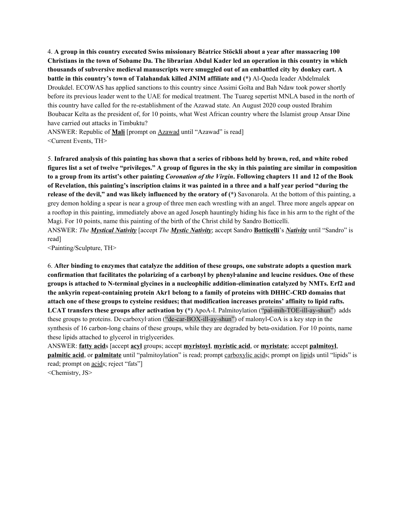4. **A group in this country executed Swiss missionary Béatrice Stöckli about a year after massacring 100** Christians in the town of Sobame Da. The librarian Abdul Kader led an operation in this country in which **thousands of subversive medieval manuscripts were smuggled out of an embattled city by donkey cart. A battle in this country's town of Talahandak killed JNIM affiliate and (\*)** Al-Qaeda leader Abdelmalek Droukdel. ECOWAS has applied sanctions to this country since Assimi Goïta and Bah Ndaw took power shortly before its previous leader went to the UAE for medical treatment. The Tuareg sepertist MNLA based in the north of this country have called for the re-establishment of the Azawad state. An August 2020 coup ousted Ibrahim Boubacar Keïta as the president of, for 10 points, what West African country where the Islamist group Ansar Dine have carried out attacks in Timbuktu?

ANSWER: Republic of **Mali** [prompt on Azawad until "Azawad" is read] <Current Events, TH>

5. Infrared analysis of this painting has shown that a series of ribbons held by brown, red, and white robed figures list a set of twelve "privileges." A group of figures in the sky in this painting are similar in composition to a group from its artist's other painting Coronation of the Virgin. Following chapters 11 and 12 of the Book of Revelation, this painting's inscription claims it was painted in a three and a half year period "during the **release of the devil," and was likely influenced by the oratory of (\*)** Savonarola. At the bottom of this painting, a grey demon holding a spear is near a group of three men each wrestling with an angel. Three more angels appear on a rooftop in this painting, immediately above an aged Joseph hauntingly hiding his face in his arm to the right of the Magi. For 10 points, name this painting of the birth of the Christ child by Sandro Botticelli.

ANSWER: *The Mystical Nativity* [accept *The Mystic Nativity*; accept Sandro **Botticelli**'s *Nativity* until "Sandro" is read]

<Painting/Sculpture, TH>

6. After binding to enzymes that catalyze the addition of these groups, one substrate adopts a question mark **confirmation that facilitates the polarizing of a carbonyl by phenyl·alanine and leucine residues. One of these groups is attached to N-terminal glycines in a nucleophilic addition-elimination catalyzed by NMTs. Erf2 and the ankyrin repeat-containing protein Akr1 belong to a family of proteins with DHHC-CRD domains that attach one of these groups to cysteine residues; that modification increases proteins' affinity to lipid rafts. LCAT transfers these groups after activation by (\*)** ApoA-I. Palmitoylation ("pal-mih-TOE-ill-ay-shun") adds these groups to proteins. De·carboxyl·ation ("de-car-BOX-ill-ay-shun") of malonyl-CoA is a key step in the synthesis of 16 carbon-long chains of these groups, while they are degraded by beta-oxidation. For 10 points, name these lipids attached to glycerol in triglycerides.

ANSWER: **fatty acid**s [accept **acyl** groups; accept **myristoyl**, **myristic acid**, or **myristate**; accept **palmitoyl**, **palmitic** acid, or **palmitate** until "palmitoylation" is read; prompt carboxylic acids; prompt on lipids until "lipids" is read; prompt on acids; reject "fats"]

<Chemistry, JS>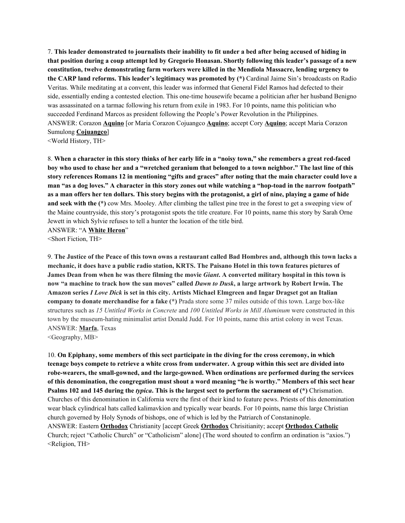7. This leader demonstrated to journalists their inability to fit under a bed after being accused of hiding in that position during a coup attempt led by Gregorio Honasan. Shortly following this leader's passage of a new **constitution, twelve demonstrating farm workers were killed in the Mendiola Massacre, lending urgency to the CARP land reforms. This leader's legitimacy was promoted by (\*)** Cardinal Jaime Sin's broadcasts on Radio Veritas. While meditating at a convent, this leader was informed that General Fidel Ramos had defected to their side, essentially ending a contested election. This one-time housewife became a politician after her husband Benigno was assassinated on a tarmac following his return from exile in 1983. For 10 points, name this politician who succeeded Ferdinand Marcos as president following the People's Power Revolution in the Philippines. ANSWER: Corazon **Aquino** [or Maria Corazon Cojuangco **Aquino**; accept Cory **Aquino**; accept Maria Corazon Sumulong **Cojuangco**] <World History, TH>

8. When a character in this story thinks of her early life in a "noisy town," she remembers a great red-faced boy who used to chase her and a "wretched geranium that belonged to a town neighbor." The last line of this story references Romans 12 in mentioning "gifts and graces" after noting that the main character could love a man "as a dog loves." A character in this story zones out while watching a "hop-toad in the narrow footpath" as a man offers her ten dollars. This story begins with the protagonist, a girl of nine, playing a game of hide **and seek with the (\*)** cow Mrs. Mooley. After climbing the tallest pine tree in the forest to get a sweeping view of the Maine countryside, this story's protagonist spots the title creature. For 10 points, name this story by Sarah Orne Jewett in which Sylvie refuses to tell a hunter the location of the title bird.

ANSWER: "A **White Heron**"

<Short Fiction, TH>

9. The Justice of the Peace of this town owns a restaurant called Bad Hombres and, although this town lacks a mechanic, it does have a public radio station, KRTS. The Paisano Hotel in this town features pictures of James Dean from when he was there filming the movie *Giant*. A converted military hospital in this town is now "a machine to track how the sun moves" called *Dawn to Dusk*, a large artwork by Robert Irwin. The Amazon series I Love Dick is set in this city. Artists Michael Elmgreen and Ingar Dragset got an Italian **company to donate merchandise for a fake (\*)** Prada store some 37 miles outside of this town. Large box-like structures such as *15 Untitled Works in Concrete* and *100 Untitled Works in Mill Aluminum* were constructed in this town by the museum-hating minimalist artist Donald Judd. For 10 points, name this artist colony in west Texas. ANSWER: **Marfa**, Texas

<Geography, MB>

10. **On Epiphany, some members of this sect participate in the diving for the cross ceremony, in which** teenage boys compete to retrieve a white cross from underwater. A group within this sect are divided into **robe-wearers, the small-gowned, and the large-gowned. When ordinations are performed during the services** of this denomination, the congregation must shout a word meaning "he is worthy." Members of this sect hear Psalms 102 and 145 during the typica. This is the largest sect to perform the sacrament of  $(*)$  Chrismation. Churches of this denomination in California were the first of their kind to feature pews. Priests of this denomination wear black cylindrical hats called kalimavkion and typically wear beards. For 10 points, name this large Christian church governed by Holy Synods of bishops, one of which is led by the Patriarch of Constaninople. ANSWER: Eastern **Orthodox** Christianity [accept Greek **Orthodox** Chrisitianity; accept **Orthodox Catholic** Church; reject "Catholic Church" or "Catholicism" alone] (The word shouted to confirm an ordination is "axios.") <Religion, TH>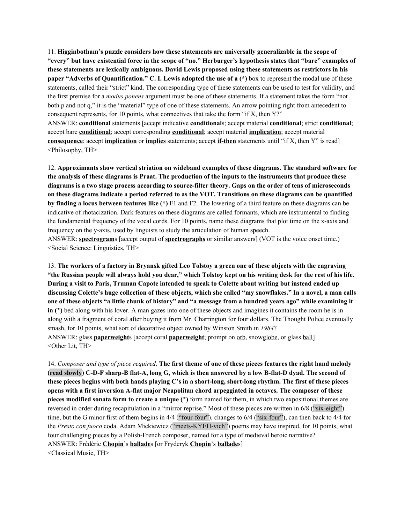11. **Higginbotham's puzzle considers how these statements are universally generalizable in the scope of** "every" but have existential force in the scope of "no." Herburger's hypothesis states that "bare" examples of **these statements are lexically ambiguous. David Lewis proposed using these statements as restrictors in his paper "Adverbs of Quantification." C. I. Lewis adopted the use of a (\*)** box to represent the modal use of these statements, called their "strict" kind. The corresponding type of these statements can be used to test for validity, and the first premise for a *modus ponens* argument must be one of these statements. If a statement takes the form "not both p and not q," it is the "material" type of one of these statements. An arrow pointing right from antecedent to consequent represents, for 10 points, what connectives that take the form "if X, then Y?" ANSWER: **conditional** statements [accept indicative **conditional**s; accept material **conditional**; strict **conditional**; accept bare **conditional**; accept corresponding **conditional**; accept material **implication**; accept material **consequence**; accept **implication** or **implies** statements; accept **if-then** statements until "if X, then Y" is read] <Philosophy, TH>

12. **Approximants show vertical striation on wideband examples of these diagrams. The standard software for** the analysis of these diagrams is Praat. The production of the inputs to the instruments that produce these diagrams is a two stage process according to source-filter theory. Gaps on the order of tens of microseconds on these diagrams indicate a period referred to as the VOT. Transitions on these diagrams can be quantified **by finding a locus between features like (\*)** F1 and F2. The lowering of a third feature on these diagrams can be indicative of rhotacization. Dark features on these diagrams are called formants, which are instrumental to finding the fundamental frequency of the vocal cords. For 10 points, name these diagrams that plot time on the x-axis and frequency on the y-axis, used by linguists to study the articulation of human speech. ANSWER: **spectrogram**s [accept output of **spectrographs** or similar answers] (VOT is the voice onset time.) <Social Science: Linguistics, TH>

13. The workers of a factory in Bryansk gifted Leo Tolstoy a green one of these objects with the engraving "the Russian people will always hold you dear," which Tolstoy kept on his writing desk for the rest of his life. During a visit to Paris, Truman Capote intended to speak to Colette about writing but instead ended up discussing Colette's huge collection of these objects, which she called "my snowflakes." In a novel, a man calls one of these objects "a little chunk of history" and "a message from a hundred years ago" while examining it **in** (\*) bed along with his lover. A man gazes into one of these objects and imagines it contains the room he is in along with a fragment of coral after buying it from Mr. Charrington for four dollars. The Thought Police eventually smash, for 10 points, what sort of decorative object owned by Winston Smith in *1984*? ANSWER: glass **paperweight**s [accept coral **paperweight**; prompt on orb, snowglobe, or glass ball] <Other Lit, TH>

14. Composer and type of piece required. The first theme of one of these pieces features the right hand melody (read slowly) C-D-F sharp-B flat-A, long G, which is then answered by a low B-flat-D dyad. The second of these pieces begins with both hands playing C's in a short-long, short-long rhythm. The first of these pieces **opens with a first inversion A-flat major Neapolitan chord arpeggiated in octaves. The composer of these pieces modified sonata form to create a unique (\*)** form named for them, in which two expositional themes are reversed in order during recapitulation in a "mirror reprise." Most of these pieces are written in 6/8 ("six-eight") time, but the G minor first of them begins in 4/4 ("four-four"), changes to 6/4 ("six-four"), can then back to 4/4 for the *Presto con fuoco* coda. Adam Mickiewicz ("meets-KYEH-vich") poems may have inspired, for 10 points, what four challenging pieces by a Polish-French composer, named for a type of medieval heroic narrative? ANSWER: Frédéric **Chopin**'s **ballade**s [or Fryderyk **Chopin**'s **ballade**s] <Classical Music, TH>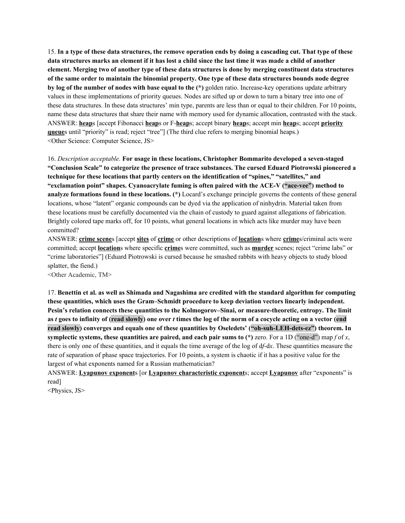15. In a type of these data structures, the remove operation ends by doing a cascading cut. That type of these data structures marks an element if it has lost a child since the last time it was made a child of another element. Merging two of another type of these data structures is done by merging constituent data structures of the same order to maintain the binomial property. One type of these data structures bounds node degree **by log of the number of nodes with base equal to the (\*)** golden ratio. Increase-key operations update arbitrary values in these implementations of priority queues. Nodes are sifted up or down to turn a binary tree into one of these data structures. In these data structures' min type, parents are less than or equal to their children. For 10 points, name these data structures that share their name with memory used for dynamic allocation, contrasted with the stack. ANSWER: **heap**s [accept Fibonacci **heap**s or F-**heap**s; accept binary **heap**s; accept min **heap**s; accept **priority queue**s until "priority" is read; reject "tree"] (The third clue refers to merging binomial heaps.) <Other Science: Computer Science, JS>

16. *Description acceptable.* **For usage in these locations, Christopher Bommarito developed a seven-staged "Conclusion Scale" to categorize the presence of trace substances. The cursed Eduard Piotrowski pioneered a technique for these locations that partly centers on the identification of "spines," "satellites," and "exclamation point" shapes. Cyanoacrylate fuming is often paired with the ACE-V ("ace-vee") method to analyze formations found in these locations. (\*)** Locard's exchange principle governs the contents of these general locations, whose "latent" organic compounds can be dyed via the application of ninhydrin. Material taken from these locations must be carefully documented via the chain of custody to guard against allegations of fabrication. Brightly colored tape marks off, for 10 points, what general locations in which acts like murder may have been committed?

ANSWER: **crime scene**s [accept **sites** of **crime** or other descriptions of **location**s where **crime**s/criminal acts were committed; accept **location**s where specific **crime**s were committed, such as **murder** scenes; reject "crime labs" or "crime laboratories"] (Eduard Piotrowski is cursed because he smashed rabbits with heavy objects to study blood splatter, the fiend.)

<Other Academic, TM>

17. Benettin et al. as well as Shimada and Nagashima are credited with the standard algorithm for computing **these quantities, which uses the Gram–Schmidt procedure to keep deviation vectors linearly independent. Pesin's relation connects these quantities to the Kolmogorov–Sinai, or measure-theoretic, entropy. The limit** as t goes to infinity of (read slowly) one over t times the log of the norm of a cocycle acting on a vector (end **read slowly) converges and equals one of these quantities by Oseledets' ("oh-suh-LEH-dets-ez") theorem. In symplectic systems, these quantities are paired, and each pair sums to (\*)** zero. For a 1D ("one-d") map *f* of *x*, there is only one of these quantities, and it equals the time average of the log of d*f*-d*x*. These quantities measure the rate of separation of phase space trajectories. For 10 points, a system is chaotic if it has a positive value for the largest of what exponents named for a Russian mathematician?

ANSWER: **Lyapunov exponent**s [or **Lyapunov characteristic exponent**s; accept **Lyapunov** after "exponents" is read]

<Physics, JS>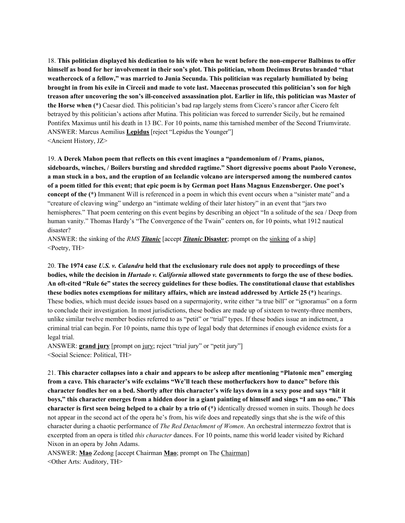18. This politician displayed his dedication to his wife when he went before the non-emperor Balbinus to offer himself as bond for her involvement in their son's plot. This politician, whom Decimus Brutus branded "that **weathercock of a fellow," was married to Junia Secunda. This politician was regularly humiliated by being** brought in from his exile in Circeii and made to vote last. Maecenas prosecuted this politician's son for high treason after uncovering the son's ill-conceived assassination plot. Earlier in life, this politician was Master of **the Horse when (\*)** Caesar died. This politician's bad rap largely stems from Cicero's rancor after Cicero felt betrayed by this politician's actions after Mutina. This politician was forced to surrender Sicily, but he remained Pontifex Maximus until his death in 13 BC. For 10 points, name this tarnished member of the Second Triumvirate. ANSWER: Marcus Aemilius **Lepidus** [reject "Lepidus the Younger"] <Ancient History, JZ>

19. **A Derek Mahon poem that reflects on this event imagines a "pandemonium of / Prams, pianos, sideboards, winches, / Boilers bursting and shredded ragtime." Short digressive poems about Paolo Veronese,** a man stuck in a box, and the eruption of an Icelandic volcano are interspersed among the numbered cantos of a poem titled for this event; that epic poem is by German poet Hans Magnus Enzensberger. One poet's **concept of the** (\*) Immanent Will is referenced in a poem in which this event occurs when a "sinister mate" and a "creature of cleaving wing" undergo an "intimate welding of their later history" in an event that "jars two hemispheres." That poem centering on this event begins by describing an object "In a solitude of the sea / Deep from human vanity." Thomas Hardy's "The Convergence of the Twain" centers on, for 10 points, what 1912 nautical disaster?

ANSWER: the sinking of the *RMS Titanic* [accept *Titanic* **Disaster**; prompt on the sinking of a ship] <Poetry, TH>

20. The 1974 case U.S. v. Calandra held that the exclusionary rule does not apply to proceedings of these bodies, while the decision in *Hurtado v. California* allowed state governments to forgo the use of these bodies. An oft-cited "Rule 6e" states the secrecy guidelines for these bodies. The constitutional clause that establishes **these bodies notes exemptions for military affairs, which are instead addressed by Article 25 (\*)** hearings. These bodies, which must decide issues based on a supermajority, write either "a true bill" or "ignoramus" on a form to conclude their investigation. In most jurisdictions, these bodies are made up of sixteen to twenty-three members, unlike similar twelve member bodies referred to as "petit" or "trial" types. If these bodies issue an indictment, a criminal trial can begin. For 10 points, name this type of legal body that determines if enough evidence exists for a legal trial.

ANSWER: **grand jury** [prompt on jury; reject "trial jury" or "petit jury"] <Social Science: Political, TH>

21. **This character collapses into a chair and appears to be asleep after mentioning "Platonic men" emerging from a cave. This character's wife exclaims "We'll teach these motherfuckers how to dance" before this** character fondles her on a bed. Shortly after this character's wife lays down in a sexy pose and says "hit it boys," this character emerges from a hidden door in a giant painting of himself and sings "I am no one." This **character is first seen being helped to a chair by a trio of (\*)** identically dressed women in suits. Though he does not appear in the second act of the opera he's from, his wife does and repeatedly sings that she is the wife of this character during a chaotic performance of *The Red Detachment of Women*. An orchestral intermezzo foxtrot that is excerpted from an opera is titled *this character* dances. For 10 points, name this world leader visited by Richard Nixon in an opera by John Adams.

ANSWER: **Mao** Zedong [accept Chairman **Mao**; prompt on The Chairman] <Other Arts: Auditory, TH>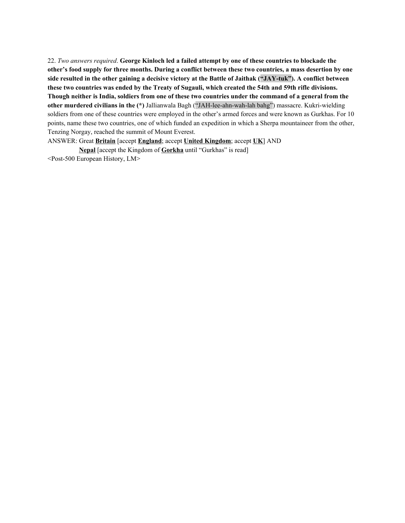22. *Two answers required*. **George Kinloch led a failed attempt by one of these countries to blockade the** other's food supply for three months. During a conflict between these two countries, a mass desertion by one side resulted in the other gaining a decisive victory at the Battle of Jaithak ("JAY-tuk"). A conflict between these two countries was ended by the Treaty of Sugauli, which created the 54th and 59th rifle divisions. Though neither is India, soldiers from one of these two countries under the command of a general from the **other murdered civilians in the (\*)** Jallianwala Bagh ("JAH-lee-ahn-wah-lah bahg") massacre. Kukri-wielding soldiers from one of these countries were employed in the other's armed forces and were known as Gurkhas. For 10 points, name these two countries, one of which funded an expedition in which a Sherpa mountaineer from the other, Tenzing Norgay, reached the summit of Mount Everest.

ANSWER: Great **Britain** [accept **England**; accept **United Kingdom**; accept **UK**] AND

**Nepal** [accept the Kingdom of **Gorkha** until "Gurkhas" is read] <Post-500 European History, LM>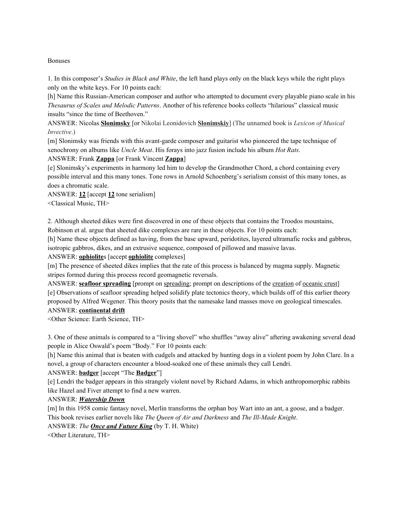## Bonuses

1. In this composer's *Studies in Black and White*, the left hand plays only on the black keys while the right plays only on the white keys. For 10 points each:

[h] Name this Russian-American composer and author who attempted to document every playable piano scale in his *Thesaurus of Scales and Melodic Patterns*. Another of his reference books collects "hilarious" classical music insults "since the time of Beethoven."

ANSWER: Nicolas **Slonimsky** [or Nikolai Leonidovich **Slonimskiy**] (The unnamed book is *Lexicon of Musical Invective*.)

[m] Slonimsky was friends with this avant-garde composer and guitarist who pioneered the tape technique of xenochrony on albums like *Uncle Meat*. His forays into jazz fusion include his album *Hot Rats*.

ANSWER: Frank **Zappa** [or Frank Vincent **Zappa**]

[e] Slonimsky's experiments in harmony led him to develop the Grandmother Chord, a chord containing every possible interval and this many tones. Tone rows in Arnold Schoenberg's serialism consist of this many tones, as does a chromatic scale.

ANSWER: **12** [accept **12** tone serialism]

<Classical Music, TH>

2. Although sheeted dikes were first discovered in one of these objects that contains the Troodos mountains, Robinson et al. argue that sheeted dike complexes are rare in these objects. For 10 points each:

[h] Name these objects defined as having, from the base upward, peridotites, layered ultramafic rocks and gabbros, isotropic gabbros, dikes, and an extrusive sequence, composed of pillowed and massive lavas.

ANSWER: **ophiolite**s [accept **ophiolite** complexes]

[m] The presence of sheeted dikes implies that the rate of this process is balanced by magma supply. Magnetic stripes formed during this process record geomagnetic reversals.

ANSWER: **seafloor spreading** [prompt on spreading; prompt on descriptions of the creation of <u>oceanic crust</u>] [e] Observations of seafloor spreading helped solidify plate tectonics theory, which builds off of this earlier theory proposed by Alfred Wegener. This theory posits that the namesake land masses move on geological timescales. ANSWER: **continental drift**

<Other Science: Earth Science, TH>

3. One of these animals is compared to a "living shovel" who shuffles "away alive" aftering awakening several dead people in Alice Oswald's poem "Body." For 10 points each:

[h] Name this animal that is beaten with cudgels and attacked by hunting dogs in a violent poem by John Clare. In a novel, a group of characters encounter a blood-soaked one of these animals they call Lendri.

## ANSWER: **badger** [accept "The **Badger**"]

[e] Lendri the badger appears in this strangely violent novel by Richard Adams, in which anthropomorphic rabbits like Hazel and Fiver attempt to find a new warren.

## ANSWER: *Watership Down*

[m] In this 1958 comic fantasy novel, Merlin transforms the orphan boy Wart into an ant, a goose, and a badger. This book revises earlier novels like *The Queen of Air and Darkness* and *The Ill-Made Knight*. ANSWER: *The Once and Future King* (by T. H. White)

<Other Literature, TH>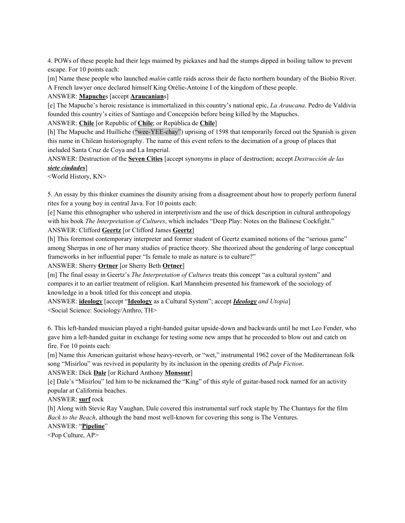4. POWs of these people had their legs maimed by pickaxes and had the stumps dipped in boiling tallow to prevent escape. For 10 points each:

[m] Name these people who launched *malón* cattle raids across their de facto northern boundary of the Biobio River. A French lawyer once declared himself King Orélie-Antoine I of the kingdom of these people.

### ANSWER: **Mapuche**s [accept **Araucanian**s]

[e] The Mapuche's heroic resistance is immortalized in this country's national epic, *La Araucana*. Pedro de Valdivia founded this country's cities of Santiago and Concepción before being killed by the Mapuches.

ANSWER: **Chile** [or Republic of **Chile**; or República de **Chile**]

[h] The Mapuche and Huilliche ("wee-YEE-chay") uprising of 1598 that temporarily forced out the Spanish is given this name in Chilean historiography. The name of this event refers to the decimation of a group of places that included Santa Cruz de Coya and La Imperial.

ANSWER: Destruction of the **Seven Cities** [accept synonyms in place of destruction; accept *Destrucción de las siete ciudades*]

<World History, KN>

5. An essay by this thinker examines the disunity arising from a disagreement about how to properly perform funeral rites for a young boy in central Java. For 10 points each:

[e] Name this ethnographer who ushered in interpretivism and the use of thick description in cultural anthropology with his book *The Interpretation of Cultures*, which includes "Deep Play: Notes on the Balinese Cockfight." ANSWER: Clifford **Geertz** [or Clifford James **Geertz**]

[h] This foremost contemporary interpreter and former student of Geertz examined notions of the "serious game" among Sherpas in one of her many studies of practice theory. She theorized about the gendering of large conceptual frameworks in her influential paper "Is female to male as nature is to culture?"

## ANSWER: Sherry **Ortner** [or Sherry Beth **Ortner**]

[m] The final essay in Geertz's *The Interpretation of Cultures* treats this concept "as a cultural system" and compares it to an earlier treatment of religion. Karl Mannheim presented his framework of the sociology of knowledge in a book titled for this concept and utopia.

ANSWER: **ideology** [accept "**Ideology** as a Cultural System"; accept *Ideology and Utopia*] <Social Science: Sociology/Anthro, TH>

6. This left-handed musician played a right-handed guitar upside-down and backwards until he met Leo Fender, who gave him a left-handed guitar in exchange for testing some new amps that he proceeded to blow out and catch on fire. For 10 points each:

[m] Name this American guitarist whose heavy-reverb, or "wet," instrumental 1962 cover of the Mediterranean folk song "Misirlou" was revived in popularity by its inclusion in the opening credits of *Pulp Fiction*.

## ANSWER: Dick **Dale** [or Richard Anthony **Monsour**]

[e] Dale's "Misirlou" led him to be nicknamed the "King" of this style of guitar-based rock named for an activity popular at California beaches.

ANSWER: **surf** rock

[h] Along with Stevie Ray Vaughan, Dale covered this instrumental surf rock staple by The Chantays for the film *Back to the Beach*, although the band most well-known for covering this song is The Ventures.

# ANSWER: "**Pipeline**"

<Pop Culture, AP>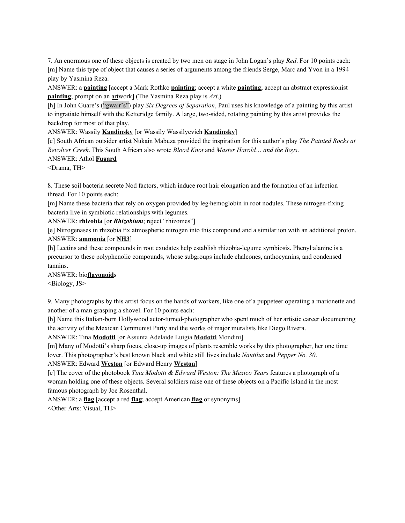7. An enormous one of these objects is created by two men on stage in John Logan's play *Red*. For 10 points each: [m] Name this type of object that causes a series of arguments among the friends Serge, Marc and Yvon in a 1994 play by Yasmina Reza.

ANSWER: a **painting** [accept a Mark Rothko **painting**; accept a white **painting**; accept an abstract expressionist **painting**; prompt on an artwork] (The Yasmina Reza play is *Art*.)

[h] In John Guare's ("gwair's") play *Six Degrees of Separation*, Paul uses his knowledge of a painting by this artist to ingratiate himself with the Ketteridge family. A large, two-sided, rotating painting by this artist provides the backdrop for most of that play.

ANSWER: Wassily **Kandinsky** [or Wassily Wassilyevich **Kandinsky**]

[e] South African outsider artist Nukain Mabuza provided the inspiration for this author's play *The Painted Rocks at Revolver Creek*. This South African also wrote *Blood Knot* and *Master Harold… and the Boys*.

## ANSWER: Athol **Fugard**

<Drama, TH>

8. These soil bacteria secrete Nod factors, which induce root hair elongation and the formation of an infection thread. For 10 points each:

[m] Name these bacteria that rely on oxygen provided by leg-hemoglobin in root nodules. These nitrogen-fixing bacteria live in symbiotic relationships with legumes.

ANSWER: **rhizobia** [or *Rhizobium*; reject "rhizomes"]

[e] Nitrogenases in rhizobia fix atmospheric nitrogen into this compound and a similar ion with an additional proton. ANSWER: **ammonia** [or **NH3**]

[h] Lectins and these compounds in root exudates help establish rhizobia-legume symbiosis. Phenyl·alanine is a precursor to these polyphenolic compounds, whose subgroups include chalcones, anthocyanins, and condensed tannins.

ANSWER: bio**flavonoid**s

<Biology, JS>

9. Many photographs by this artist focus on the hands of workers, like one of a puppeteer operating a marionette and another of a man grasping a shovel. For 10 points each:

[h] Name this Italian-born Hollywood actor-turned-photographer who spent much of her artistic career documenting the activity of the Mexican Communist Party and the works of major muralists like Diego Rivera.

ANSWER: Tina **Modotti** [or Assunta Adelaide Luigia **Modotti** Mondini]

[m] Many of Modotti's sharp focus, close-up images of plants resemble works by this photographer, her one time lover. This photographer's best known black and white still lives include *Nautilus* and *Pepper No. 30*.

ANSWER: Edward **Weston** [or Edward Henry **Weston**]

[e] The cover of the photobook *Tina Modotti & Edward Weston: The Mexico Years* features a photograph of a woman holding one of these objects. Several soldiers raise one of these objects on a Pacific Island in the most famous photograph by Joe Rosenthal.

ANSWER: a **flag** [accept a red **flag**; accept American **flag** or synonyms] <Other Arts: Visual, TH>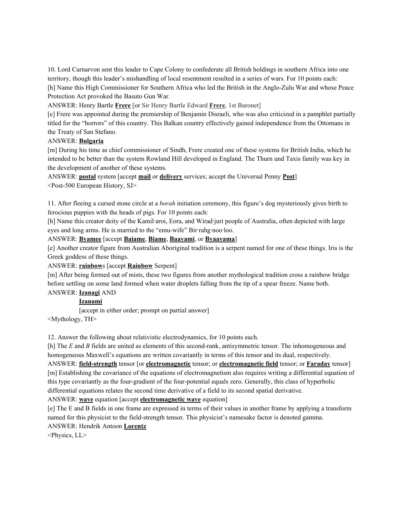10. Lord Carnarvon sent this leader to Cape Colony to confederate all British holdings in southern Africa into one territory, though this leader's mishandling of local resentment resulted in a series of wars. For 10 points each: [h] Name this High Commissioner for Southern Africa who led the British in the Anglo-Zulu War and whose Peace Protection Act provoked the Basuto Gun War.

ANSWER: Henry Bartle **Frere** [or Sir Henry Bartle Edward **Frere**, 1st Baronet]

[e] Frere was appointed during the premiership of Benjamin Disraeli, who was also criticized in a pamphlet partially titled for the "horrors" of this country. This Balkan country effectively gained independence from the Ottomans in the Treaty of San Stefano.

## ANSWER: **Bulgaria**

[m] During his time as chief commissioner of Sindh, Frere created one of these systems for British India, which he intended to be better than the system Rowland Hill developed in England. The Thurn und Taxis family was key in the development of another of these systems.

ANSWER: **postal** system [accept **mail** or **delivery** services; accept the Universal Penny **Post**] <Post-500 European History, SJ>

11. After fleeing a cursed stone circle at a *borah* initiation ceremony, this figure's dog mysteriously gives birth to ferocious puppies with the heads of pigs. For 10 points each:

[h] Name this creator deity of the Kamil·aroi, Eora, and Wirad·juri people of Australia, often depicted with large eyes and long arms. He is married to the "emu-wife" Bir·rahg·noo·loo.

ANSWER: **Byamee** [accept **Baiame**, **Biame**, **Baayami**, or **Byaayama**]

[e] Another creator figure from Australian Aboriginal tradition is a serpent named for one of these things. Iris is the Greek goddess of these things.

ANSWER: **rainbow**s [accept **Rainbow** Serpent]

[m] After being formed out of mists, these two figures from another mythological tradition cross a rainbow bridge before settling on some land formed when water droplets falling from the tip of a spear freeze. Name both. ANSWER: **Izanagi** AND

# **Izanami**

[accept in either order; prompt on partial answer]

<Mythology, TH>

12. Answer the following about relativistic electrodynamics, for 10 points each.

[h] The *E* and *B* fields are united as elements of this second-rank, antisymmetric tensor. The inhomogeneous and homogeneous Maxwell's equations are written covariantly in terms of this tensor and its dual, respectively.

ANSWER: **field-strength** tensor [or **electromagnetic** tensor; or **electromagnetic field** tensor; or **Faraday** tensor] [m] Establishing the covariance of the equations of electromagnetism also requires writing a differential equation of this type covariantly as the four-gradient of the four-potential equals zero. Generally, this class of hyperbolic differential equations relates the second time derivative of a field to its second spatial derivative.

ANSWER: **wave** equation [accept **electromagnetic wave** equation]

[e] The E and B fields in one frame are expressed in terms of their values in another frame by applying a transform named for this physicist to the field-strength tensor. This physicist's namesake factor is denoted gamma. ANSWER: Hendrik Antoon **Lorentz**

<Physics, LL>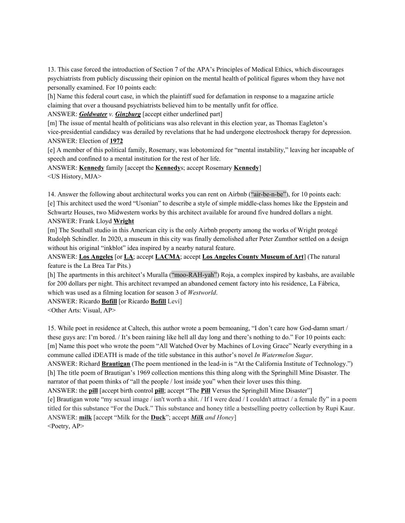13. This case forced the introduction of Section 7 of the APA's Principles of Medical Ethics, which discourages psychiatrists from publicly discussing their opinion on the mental health of political figures whom they have not personally examined. For 10 points each:

[h] Name this federal court case, in which the plaintiff sued for defamation in response to a magazine article claiming that over a thousand psychiatrists believed him to be mentally unfit for office.

ANSWER: *Goldwater v. Ginzburg* [accept either underlined part]

[m] The issue of mental health of politicians was also relevant in this election year, as Thomas Eagleton's vice-presidential candidacy was derailed by revelations that he had undergone electroshock therapy for depression. ANSWER: Election of **1972**

[e] A member of this political family, Rosemary, was lobotomized for "mental instability," leaving her incapable of speech and confined to a mental institution for the rest of her life.

ANSWER: **Kennedy** family [accept the **Kennedy**s; accept Rosemary **Kennedy**]

<US History, MJA>

14. Answer the following about architectural works you can rent on Airbnb ("air-be-n-be"), for 10 points each: [e] This architect used the word "Usonian" to describe a style of simple middle-class homes like the Eppstein and Schwartz Houses, two Midwestern works by this architect available for around five hundred dollars a night. ANSWER: Frank Lloyd **Wright**

[m] The Southall studio in this American city is the only Airbnb property among the works of Wright protegé Rudolph Schindler. In 2020, a museum in this city was finally demolished after Peter Zumthor settled on a design without his original "inkblot" idea inspired by a nearby natural feature.

ANSWER: **Los Angeles** [or **LA**; accept **LACMA**; accept **Los Angeles County Museum of Art**] (The natural feature is the La Brea Tar Pits.)

[h] The apartments in this architect's Muralla ("moo-RAH-yah") Roja, a complex inspired by kasbahs, are available for 200 dollars per night. This architect revamped an abandoned cement factory into his residence, La Fábrica, which was used as a filming location for season 3 of *Westworld*.

ANSWER: Ricardo **Bofill** [or Ricardo **Bofill** Leví]

<Other Arts: Visual, AP>

15. While poet in residence at Caltech, this author wrote a poem bemoaning, "I don't care how God-damn smart / these guys are: I'm bored. / It's been raining like hell all day long and there's nothing to do." For 10 points each: [m] Name this poet who wrote the poem "All Watched Over by Machines of Loving Grace" Nearly everything in a commune called iDEATH is made of the title substance in this author's novel *In Watermelon Sugar*. ANSWER: Richard **Brautigan** (The poem mentioned in the lead-in is "At the California Institute of Technology.") [h] The title poem of Brautigan's 1969 collection mentions this thing along with the Springhill Mine Disaster. The narrator of that poem thinks of "all the people / lost inside you" when their lover uses this thing. ANSWER: the **pill** [accept birth control **pill**; accept "The **Pill** Versus the Springhill Mine Disaster"] [e] Brautigan wrote "my sexual image / isn't worth a shit. / If I were dead / I couldn't attract / a female fly" in a poem titled for this substance "For the Duck." This substance and honey title a bestselling poetry collection by Rupi Kaur. ANSWER: **milk** [accept "Milk for the **Duck**"; accept *Milk and Honey*]

 $\leq$ Poetry, AP $>$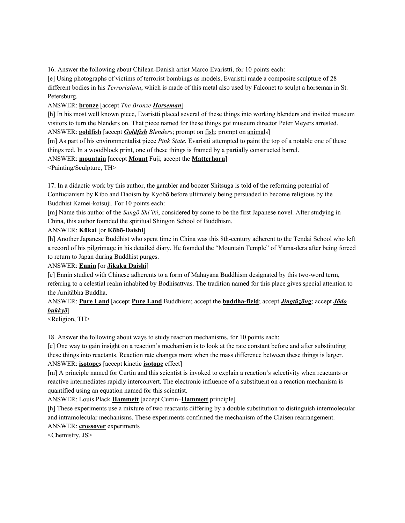16. Answer the following about Chilean-Danish artist Marco Evaristti, for 10 points each:

[e] Using photographs of victims of terrorist bombings as models, Evaristti made a composite sculpture of 28 different bodies in his *Terrorialista*, which is made of this metal also used by Falconet to sculpt a horseman in St. Petersburg.

# ANSWER: **bronze** [accept *The Bronze Horseman*]

[h] In his most well known piece, Evaristti placed several of these things into working blenders and invited museum visitors to turn the blenders on. That piece named for these things got museum director Peter Meyers arrested. ANSWER: **goldfish** [accept *Goldfish Blenders*; prompt on fish; prompt on animals]

[m] As part of his environmentalist piece *Pink State*, Evaristti attempted to paint the top of a notable one of these things red. In a woodblock print, one of these things is framed by a partially constructed barrel.

# ANSWER: **mountain** [accept **Mount** Fuji; accept the **Matterhorn**]

<Painting/Sculpture, TH>

17. In a didactic work by this author, the gambler and boozer Shitsuga is told of the reforming potential of Confucianism by Kibo and Daoism by Kyobō before ultimately being persuaded to become religious by the Buddhist Kamei-kotsuji. For 10 points each:

[m] Name this author of the *Sangō Shi'iki*, considered by some to be the first Japanese novel. After studying in China, this author founded the spiritual Shingon School of Buddhism.

# ANSWER: **Kūkai** [or **Kōbō-Daishi**]

[h] Another Japanese Buddhist who spent time in China was this 8th-century adherent to the Tendai School who left a record of his pilgrimage in his detailed diary. He founded the "Mountain Temple" of Yama-dera after being forced to return to Japan during Buddhist purges.

# ANSWER: **Ennin** [or **Jikaku Daishi**]

[e] Ennin studied with Chinese adherents to a form of Mahāyāna Buddhism designated by this two-word term, referring to a celestial realm inhabited by Bodhisattvas. The tradition named for this place gives special attention to the Amitābha Buddha.

# ANSWER: **Pure Land** [accept **Pure Land** Buddhism; accept the **buddha-field**; accept *Jìngtǔzōng*; accept *Jōdo bukkyō*]

<Religion, TH>

18. Answer the following about ways to study reaction mechanisms, for 10 points each:

[e] One way to gain insight on a reaction's mechanism is to look at the rate constant before and after substituting these things into reactants. Reaction rate changes more when the mass difference between these things is larger. ANSWER: **isotope**s [accept kinetic **isotope** effect]

[m] A principle named for Curtin and this scientist is invoked to explain a reaction's selectivity when reactants or reactive intermediates rapidly interconvert. The electronic influence of a substituent on a reaction mechanism is quantified using an equation named for this scientist.

# ANSWER: Louis Plack **Hammett** [accept Curtin–**Hammett** principle]

[h] These experiments use a mixture of two reactants differing by a double substitution to distinguish intermolecular and intramolecular mechanisms. These experiments confirmed the mechanism of the Claisen rearrangement. ANSWER: **crossover** experiments

<Chemistry, JS>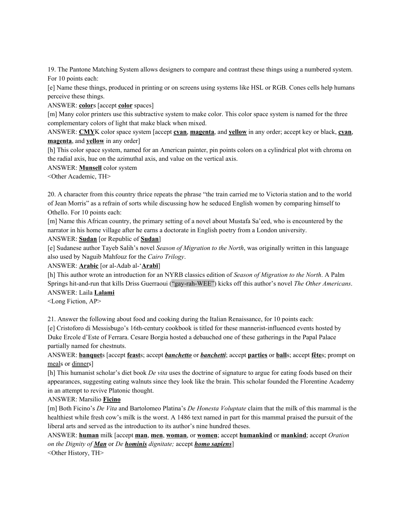19. The Pantone Matching System allows designers to compare and contrast these things using a numbered system. For 10 points each:

[e] Name these things, produced in printing or on screens using systems like HSL or RGB. Cones cells help humans perceive these things.

ANSWER: **color**s [accept **color** spaces]

[m] Many color printers use this subtractive system to make color. This color space system is named for the three complementary colors of light that make black when mixed.

ANSWER: **CMY**K color space system [accept **cyan**, **magenta**, and **yellow** in any order; accept key or black, **cyan**, **magenta**, and **yellow** in any order]

[h] This color space system, named for an American painter, pin points colors on a cylindrical plot with chroma on the radial axis, hue on the azimuthal axis, and value on the vertical axis.

ANSWER: **Munsell** color system

<Other Academic, TH>

20. A character from this country thrice repeats the phrase "the train carried me to Victoria station and to the world of Jean Morris" as a refrain of sorts while discussing how he seduced English women by comparing himself to Othello. For 10 points each:

[m] Name this African country, the primary setting of a novel about Mustafa Sa'eed, who is encountered by the narrator in his home village after he earns a doctorate in English poetry from a London university.

ANSWER: **Sudan** [or Republic of **Sudan**]

[e] Sudanese author Tayeb Salih's novel *Season of Migration to the North*, was originally written in this language also used by Naguib Mahfouz for the *Cairo Trilogy*.

ANSWER: **Arabic** [or al-Adab al-'**Arabī**]

[h] This author wrote an introduction for an NYRB classics edition of *Season of Migration to the North*. A Palm Springs hit-and-run that kills Driss Guerraoui ("gay-rah-WEE") kicks off this author's novel *The Other Americans*. ANSWER: Laila **Lalami**

<Long Fiction, AP>

21. Answer the following about food and cooking during the Italian Renaissance, for 10 points each:

[e] Cristoforo di Messisbugo's 16th-century cookbook is titled for these mannerist-influenced events hosted by Duke Ercole d'Este of Ferrara. Cesare Borgia hosted a debauched one of these gatherings in the Papal Palace partially named for chestnuts.

ANSWER: **banquet**s [accept **feast**s; accept *banchetto* or *banchetti*; accept **parties** or **ball**s; accept **fête**s; prompt on meals or dinners]

[h] This humanist scholar's diet book *De vita* uses the doctrine of signature to argue for eating foods based on their appearances, suggesting eating walnuts since they look like the brain. This scholar founded the Florentine Academy in an attempt to revive Platonic thought.

ANSWER: Marsilio **Ficino**

[m] Both Ficino's *De Vita* and Bartolomeo Platina's *De Honesta Voluptate* claim that the milk of this mammal is the healthiest while fresh cow's milk is the worst. A 1486 text named in part for this mammal praised the pursuit of the liberal arts and served as the introduction to its author's nine hundred theses.

ANSWER: **human** milk [accept **man**, **men**, **woman**, or **women**; accept **humankind** or **mankind**; accept *Oration on the Dignity of Man* or *De hominis dignitate;* accept *homo sapiens*]

<Other History, TH>